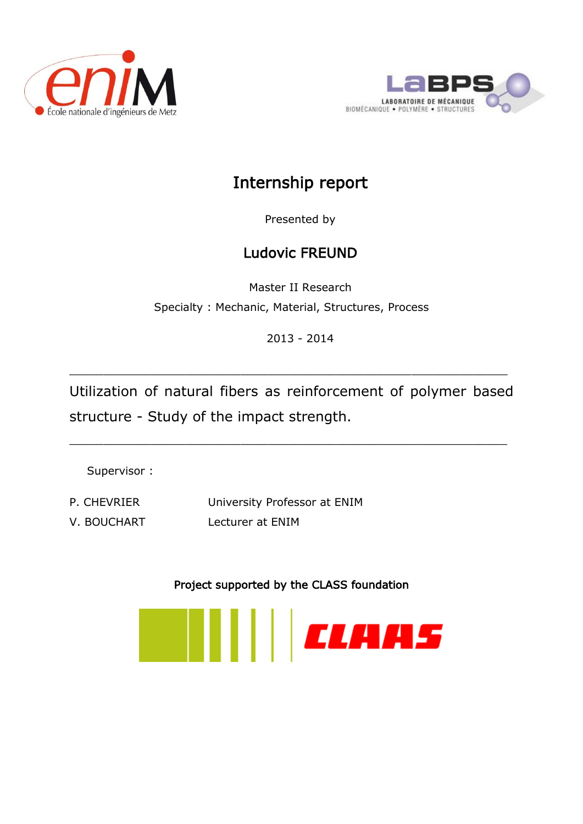



# Internship report

Presented by

# Ludovic FREUND

Master II Research Specialty : Mechanic, Material, Structures, Process

2013 - 2014

Utilization of natural fibers as reinforcement of polymer based structure - Study of the impact strength.

 $\_$  , and the contribution of the contribution of  $\mathcal{L}_\mathcal{A}$  , and the contribution of  $\mathcal{L}_\mathcal{A}$ 

\_\_\_\_\_\_\_\_\_\_\_\_\_\_\_\_\_\_\_\_\_\_\_\_\_\_\_\_\_\_\_\_\_\_\_\_\_\_\_\_\_\_\_\_\_\_\_\_\_\_\_\_\_\_\_\_\_\_\_\_\_\_\_\_

Supervisor :

P. CHEVRIER University Professor at ENIM V. BOUCHART Lecturer at ENIM

Project supported by the CLASS foundation

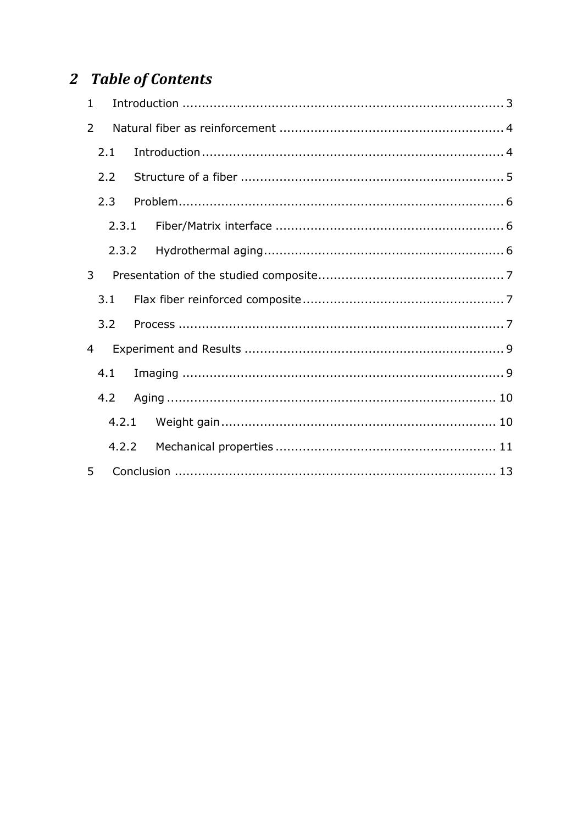# 2 Table of Contents

| $\mathbf{1}$   |       |  |  |  |  |
|----------------|-------|--|--|--|--|
| $\overline{2}$ |       |  |  |  |  |
|                | 2.1   |  |  |  |  |
| 2.2            |       |  |  |  |  |
|                | 2.3   |  |  |  |  |
|                | 2.3.1 |  |  |  |  |
|                | 2.3.2 |  |  |  |  |
| 3              |       |  |  |  |  |
|                | 3.1   |  |  |  |  |
|                | 3.2   |  |  |  |  |
| 4              |       |  |  |  |  |
|                | 4.1   |  |  |  |  |
| 4.2            |       |  |  |  |  |
|                | 4.2.1 |  |  |  |  |
|                | 4.2.2 |  |  |  |  |
| 5              |       |  |  |  |  |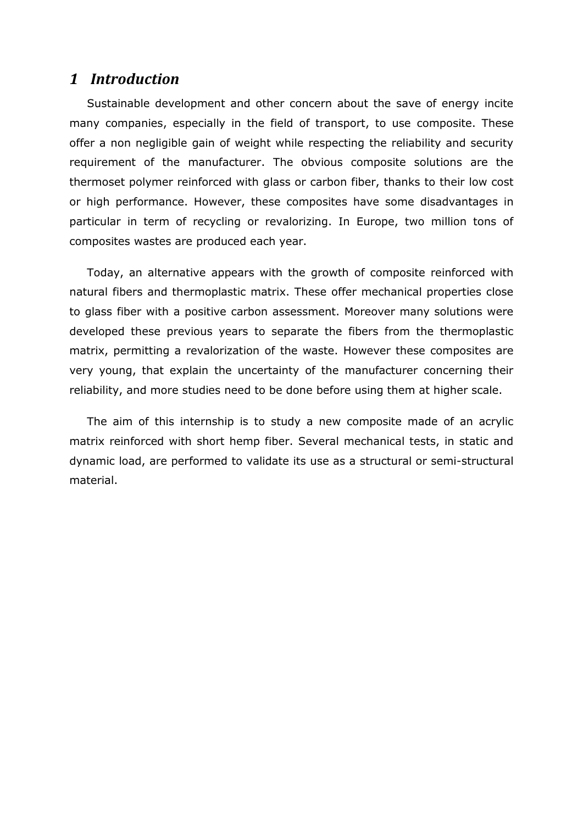## <span id="page-2-0"></span>*1 Introduction*

Sustainable development and other concern about the save of energy incite many companies, especially in the field of transport, to use composite. These offer a non negligible gain of weight while respecting the reliability and security requirement of the manufacturer. The obvious composite solutions are the thermoset polymer reinforced with glass or carbon fiber, thanks to their low cost or high performance. However, these composites have some disadvantages in particular in term of recycling or revalorizing. In Europe, two million tons of composites wastes are produced each year.

Today, an alternative appears with the growth of composite reinforced with natural fibers and thermoplastic matrix. These offer mechanical properties close to glass fiber with a positive carbon assessment. Moreover many solutions were developed these previous years to separate the fibers from the thermoplastic matrix, permitting a revalorization of the waste. However these composites are very young, that explain the uncertainty of the manufacturer concerning their reliability, and more studies need to be done before using them at higher scale.

The aim of this internship is to study a new composite made of an acrylic matrix reinforced with short hemp fiber. Several mechanical tests, in static and dynamic load, are performed to validate its use as a structural or semi-structural material.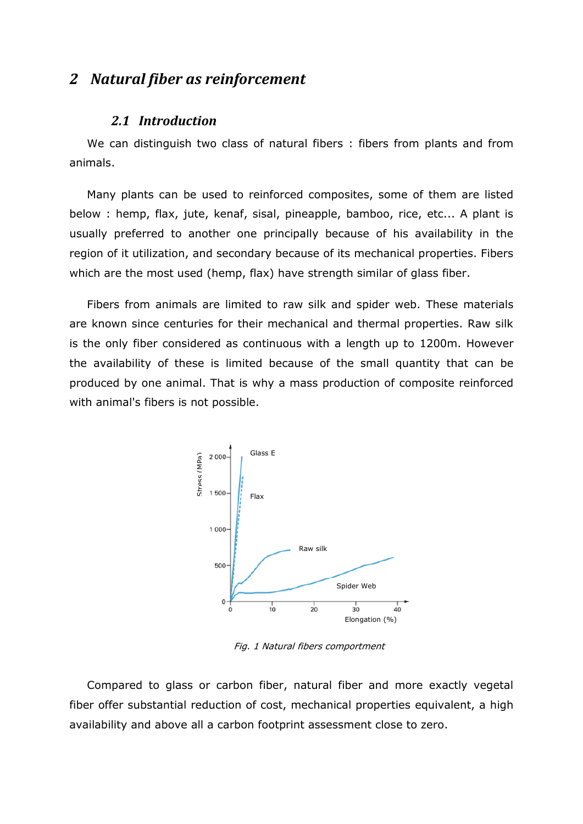## <span id="page-3-1"></span><span id="page-3-0"></span>*2 Natural fiber as reinforcement*

### *2.1 Introduction*

We can distinguish two class of natural fibers : fibers from plants and from animals.

Many plants can be used to reinforced composites, some of them are listed below : hemp, flax, jute, kenaf, sisal, pineapple, bamboo, rice, etc... A plant is usually preferred to another one principally because of his availability in the region of it utilization, and secondary because of its mechanical properties. Fibers which are the most used (hemp, flax) have strength similar of glass fiber.

Fibers from animals are limited to raw silk and spider web. These materials are known since centuries for their mechanical and thermal properties. Raw silk is the only fiber considered as continuous with a length up to 1200m. However the availability of these is limited because of the small quantity that can be produced by one animal. That is why a mass production of composite reinforced with animal's fibers is not possible.



Fig. 1 Natural fibers comportment

Compared to glass or carbon fiber, natural fiber and more exactly vegetal fiber offer substantial reduction of cost, mechanical properties equivalent, a high availability and above all a carbon footprint assessment close to zero.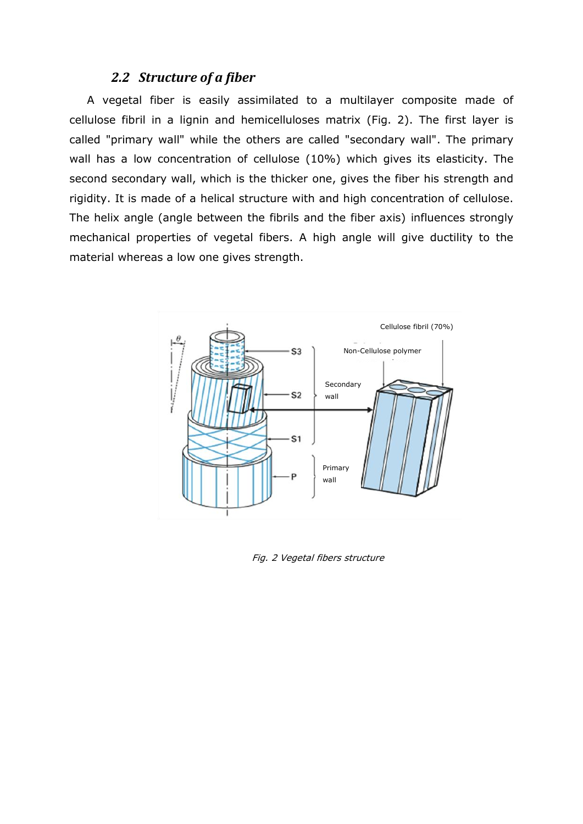## *2.2 Structure of a fiber*

<span id="page-4-0"></span>A vegetal fiber is easily assimilated to a multilayer composite made of cellulose fibril in a lignin and hemicelluloses matrix [\(Fig. 2\)](#page-4-1). The first layer is called "primary wall" while the others are called "secondary wall". The primary wall has a low concentration of cellulose (10%) which gives its elasticity. The second secondary wall, which is the thicker one, gives the fiber his strength and rigidity. It is made of a helical structure with and high concentration of cellulose. The helix angle (angle between the fibrils and the fiber axis) influences strongly mechanical properties of vegetal fibers. A high angle will give ductility to the material whereas a low one gives strength.



<span id="page-4-1"></span>Fig. 2 Vegetal fibers structure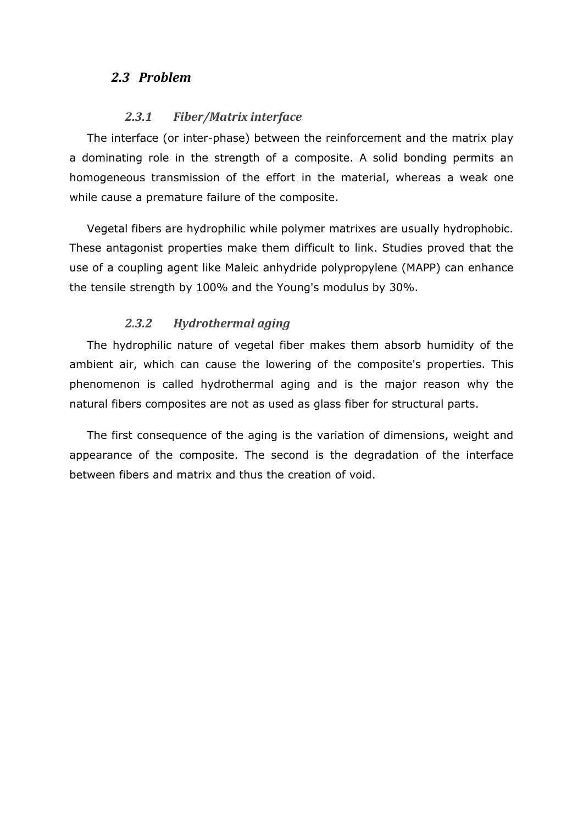## <span id="page-5-0"></span>*2.3 Problem*

### *2.3.1 Fiber/Matrix interface*

<span id="page-5-1"></span>The interface (or inter-phase) between the reinforcement and the matrix play a dominating role in the strength of a composite. A solid bonding permits an homogeneous transmission of the effort in the material, whereas a weak one while cause a premature failure of the composite.

Vegetal fibers are hydrophilic while polymer matrixes are usually hydrophobic. These antagonist properties make them difficult to link. Studies proved that the use of a coupling agent like Maleic anhydride polypropylene (MAPP) can enhance the tensile strength by 100% and the Young's modulus by 30%.

### *2.3.2 Hydrothermal aging*

<span id="page-5-2"></span>The hydrophilic nature of vegetal fiber makes them absorb humidity of the ambient air, which can cause the lowering of the composite's properties. This phenomenon is called hydrothermal aging and is the major reason why the natural fibers composites are not as used as glass fiber for structural parts.

The first consequence of the aging is the variation of dimensions, weight and appearance of the composite. The second is the degradation of the interface between fibers and matrix and thus the creation of void.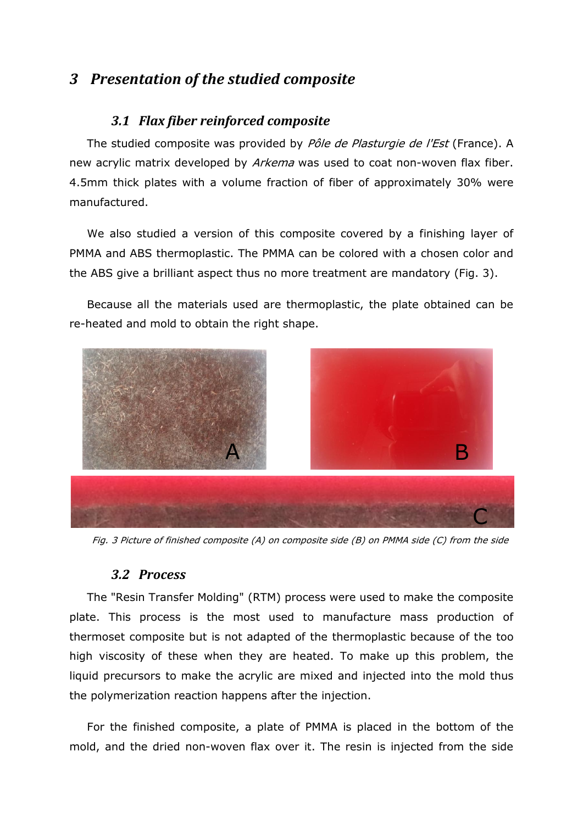# <span id="page-6-1"></span><span id="page-6-0"></span>*3 Presentation of the studied composite*

## *3.1 Flax fiber reinforced composite*

The studied composite was provided by Pôle de Plasturgie de l'Est (France). A new acrylic matrix developed by Arkema was used to coat non-woven flax fiber. 4.5mm thick plates with a volume fraction of fiber of approximately 30% were manufactured.

We also studied a version of this composite covered by a finishing layer of PMMA and ABS thermoplastic. The PMMA can be colored with a chosen color and the ABS give a brilliant aspect thus no more treatment are mandatory [\(Fig. 3\)](#page-6-3).

Because all the materials used are thermoplastic, the plate obtained can be re-heated and mold to obtain the right shape.



Fig. 3 Picture of finished composite (A) on composite side (B) on PMMA side (C) from the side

### <span id="page-6-3"></span>*3.2 Process*

<span id="page-6-2"></span>The "Resin Transfer Molding" (RTM) process were used to make the composite plate. This process is the most used to manufacture mass production of thermoset composite but is not adapted of the thermoplastic because of the too high viscosity of these when they are heated. To make up this problem, the liquid precursors to make the acrylic are mixed and injected into the mold thus the polymerization reaction happens after the injection.

For the finished composite, a plate of PMMA is placed in the bottom of the mold, and the dried non-woven flax over it. The resin is injected from the side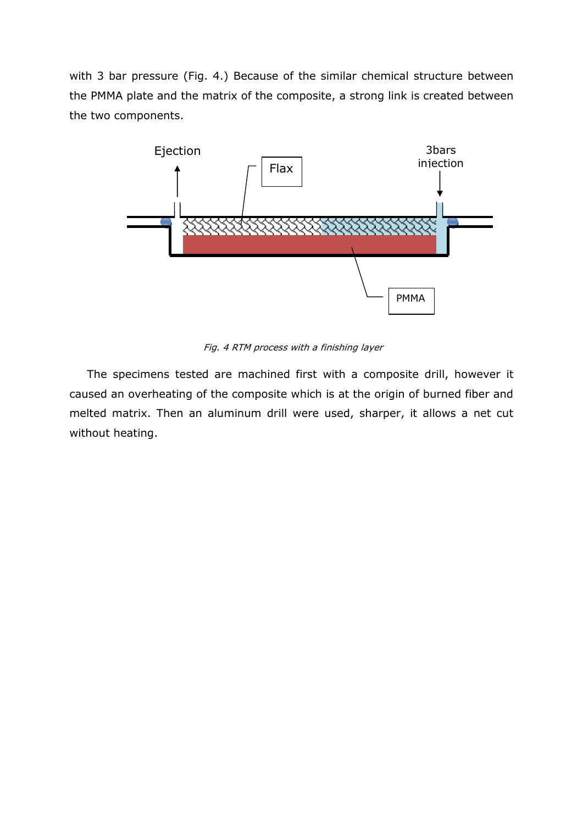with 3 bar pressure [\(Fig. 4.](#page-7-0)) Because of the similar chemical structure between the PMMA plate and the matrix of the composite, a strong link is created between the two components.



Fig. 4 RTM process with a finishing layer

<span id="page-7-0"></span>The specimens tested are machined first with a composite drill, however it caused an overheating of the composite which is at the origin of burned fiber and melted matrix. Then an aluminum drill were used, sharper, it allows a net cut without heating.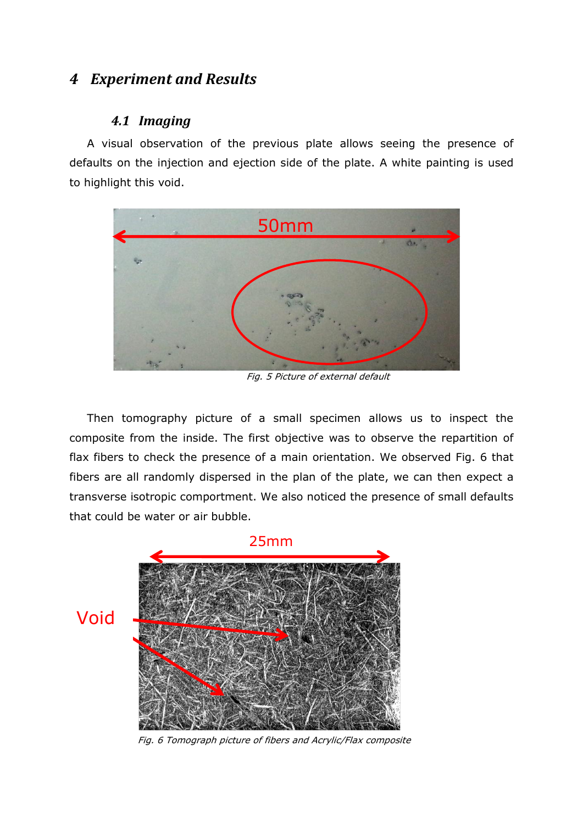# <span id="page-8-1"></span><span id="page-8-0"></span>*4 Experiment and Results*

## *4.1 Imaging*

A visual observation of the previous plate allows seeing the presence of defaults on the injection and ejection side of the plate. A white painting is used to highlight this void.



Fig. 5 Picture of external default

Then tomography picture of a small specimen allows us to inspect the composite from the inside. The first objective was to observe the repartition of flax fibers to check the presence of a main orientation. We observed [Fig. 6](#page-8-2) that fibers are all randomly dispersed in the plan of the plate, we can then expect a transverse isotropic comportment. We also noticed the presence of small defaults that could be water or air bubble.



<span id="page-8-2"></span>Fig. 6 Tomograph picture of fibers and Acrylic/Flax composite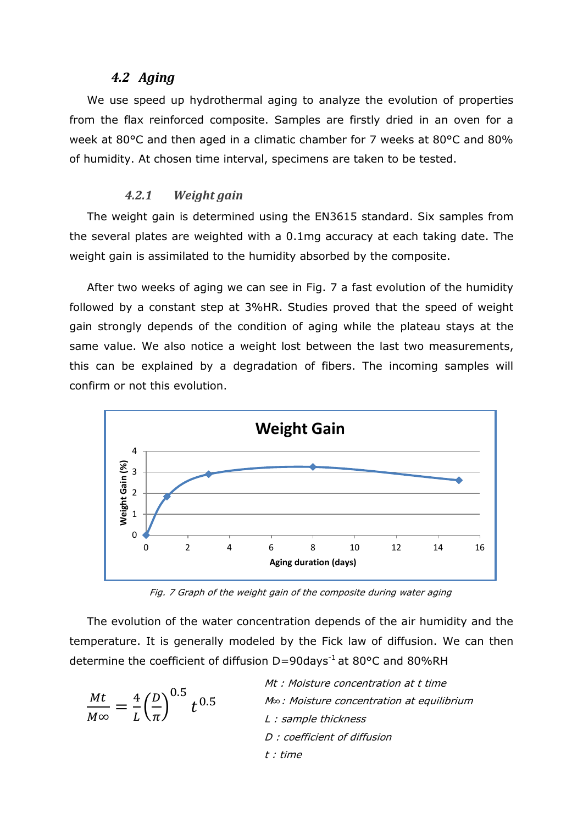### *4.2 Aging*

<span id="page-9-0"></span>We use speed up hydrothermal aging to analyze the evolution of properties from the flax reinforced composite. Samples are firstly dried in an oven for a week at 80°C and then aged in a climatic chamber for 7 weeks at 80°C and 80% of humidity. At chosen time interval, specimens are taken to be tested.

#### *4.2.1 Weight gain*

<span id="page-9-1"></span>The weight gain is determined using the EN3615 standard. Six samples from the several plates are weighted with a 0.1mg accuracy at each taking date. The weight gain is assimilated to the humidity absorbed by the composite.

After two weeks of aging we can see in [Fig. 7](#page-9-2) a fast evolution of the humidity followed by a constant step at 3%HR. Studies proved that the speed of weight gain strongly depends of the condition of aging while the plateau stays at the same value. We also notice a weight lost between the last two measurements, this can be explained by a degradation of fibers. The incoming samples will confirm or not this evolution.



Fig. 7 Graph of the weight gain of the composite during water aging

<span id="page-9-2"></span>The evolution of the water concentration depends of the air humidity and the temperature. It is generally modeled by the Fick law of diffusion. We can then determine the coefficient of diffusion D=90days<sup>-1</sup> at 80°C and 80%RH

$$
\frac{Mt}{M\infty} = \frac{4}{L} \left(\frac{D}{\pi}\right)^{0.5} t^{0.5}
$$
\n
$$
t^{0.5}
$$
\n
$$
t^{0.5}
$$
\n
$$
t^{0.5}
$$
\n
$$
t^{0.5}
$$
\n
$$
t^{0.5}
$$
\n
$$
t^{0.5}
$$
\n
$$
t^{0.5}
$$
\n
$$
t^{0.5}
$$
\n
$$
t^{0.5}
$$
\n
$$
t^{0.5}
$$
\n
$$
t^{0.5}
$$
\n
$$
t^{0.5}
$$
\n
$$
t^{0.5}
$$
\n
$$
t^{0.5}
$$
\n
$$
t^{0.5}
$$
\n
$$
t^{0.5}
$$
\n
$$
t^{0.5}
$$
\n
$$
t^{0.5}
$$
\n
$$
t^{0.5}
$$
\n
$$
t^{0.5}
$$
\n
$$
t^{0.5}
$$
\n
$$
t^{0.5}
$$
\n
$$
t^{0.5}
$$
\n
$$
t^{0.5}
$$
\n
$$
t^{0.5}
$$
\n
$$
t^{0.5}
$$
\n
$$
t^{0.5}
$$
\n
$$
t^{0.5}
$$
\n
$$
t^{0.5}
$$
\n
$$
t^{0.5}
$$
\n
$$
t^{0.5}
$$
\n
$$
t^{0.5}
$$
\n
$$
t^{0.5}
$$
\n
$$
t^{0.5}
$$
\n
$$
t^{0.5}
$$
\n
$$
t^{0.5}
$$
\n
$$
t^{0.5}
$$
\n
$$
t^{0.5}
$$
\n
$$
t^{0.5}
$$
\n
$$
t^{0.5}
$$
\n
$$
t^{0.5}
$$
\n
$$
t^{0.5}
$$
\n
$$
t^{0.5}
$$
\n
$$
t^{0.5}
$$
\n
$$
t^{0.5}
$$
\n
$$
t^{0.5}
$$
\n
$$
t^{0.5}
$$
\n
$$
t^{0.5
$$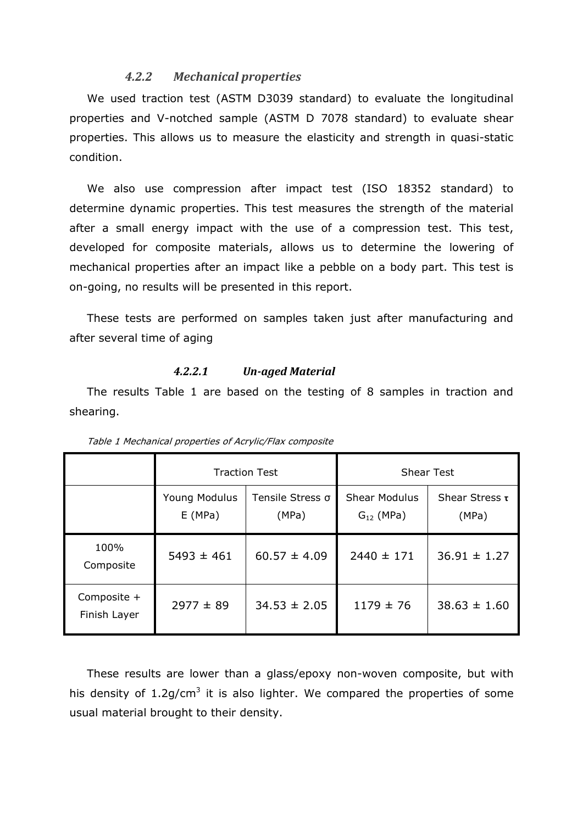#### *4.2.2 Mechanical properties*

<span id="page-10-0"></span>We used traction test (ASTM D3039 standard) to evaluate the longitudinal properties and V-notched sample (ASTM D 7078 standard) to evaluate shear properties. This allows us to measure the elasticity and strength in quasi-static condition.

We also use compression after impact test (ISO 18352 standard) to determine dynamic properties. This test measures the strength of the material after a small energy impact with the use of a compression test. This test, developed for composite materials, allows us to determine the lowering of mechanical properties after an impact like a pebble on a body part. This test is on-going, no results will be presented in this report.

These tests are performed on samples taken just after manufacturing and after several time of aging

#### *4.2.2.1 Un-aged Material*

The results [Table 1](#page-10-1) are based on the testing of 8 samples in traction and shearing.

<span id="page-10-1"></span>

|                             | <b>Traction Test</b>    |                           | <b>Shear Test</b>                      |                              |
|-----------------------------|-------------------------|---------------------------|----------------------------------------|------------------------------|
|                             | Young Modulus<br>E(MPa) | Tensile Stress o<br>(MPa) | <b>Shear Modulus</b><br>$G_{12}$ (MPa) | Shear Stress $\tau$<br>(MPa) |
| 100%<br>Composite           | $5493 \pm 461$          | $60.57 \pm 4.09$          | $2440 \pm 171$                         | $36.91 \pm 1.27$             |
| Composite +<br>Finish Layer | $2977 \pm 89$           | $34.53 \pm 2.05$          | $1179 \pm 76$                          | $38.63 \pm 1.60$             |

Table 1 Mechanical properties of Acrylic/Flax composite

These results are lower than a glass/epoxy non-woven composite, but with his density of 1.2g/cm<sup>3</sup> it is also lighter. We compared the properties of some usual material brought to their density.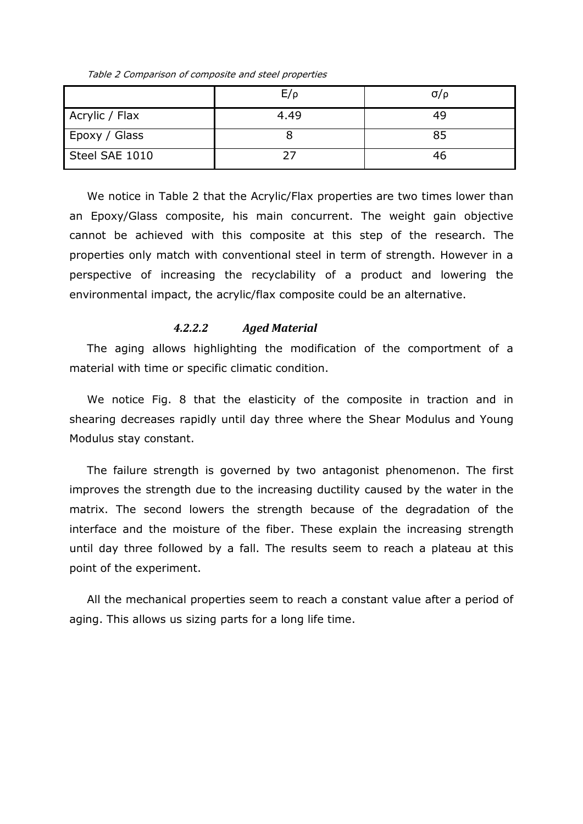Table 2 Comparison of composite and steel properties

<span id="page-11-0"></span>

|                | $E/\rho$ | $\sigma/\rho$ |
|----------------|----------|---------------|
| Acrylic / Flax | 4.49     | 49            |
| Epoxy / Glass  |          | 85            |
| Steel SAE 1010 |          | 46            |

We notice in [Table 2](#page-11-0) that the Acrylic/Flax properties are two times lower than an Epoxy/Glass composite, his main concurrent. The weight gain objective cannot be achieved with this composite at this step of the research. The properties only match with conventional steel in term of strength. However in a perspective of increasing the recyclability of a product and lowering the environmental impact, the acrylic/flax composite could be an alternative.

#### *4.2.2.2 Aged Material*

The aging allows highlighting the modification of the comportment of a material with time or specific climatic condition.

We notice [Fig. 8](#page-12-1) that the elasticity of the composite in traction and in shearing decreases rapidly until day three where the Shear Modulus and Young Modulus stay constant.

The failure strength is governed by two antagonist phenomenon. The first improves the strength due to the increasing ductility caused by the water in the matrix. The second lowers the strength because of the degradation of the interface and the moisture of the fiber. These explain the increasing strength until day three followed by a fall. The results seem to reach a plateau at this point of the experiment.

All the mechanical properties seem to reach a constant value after a period of aging. This allows us sizing parts for a long life time.